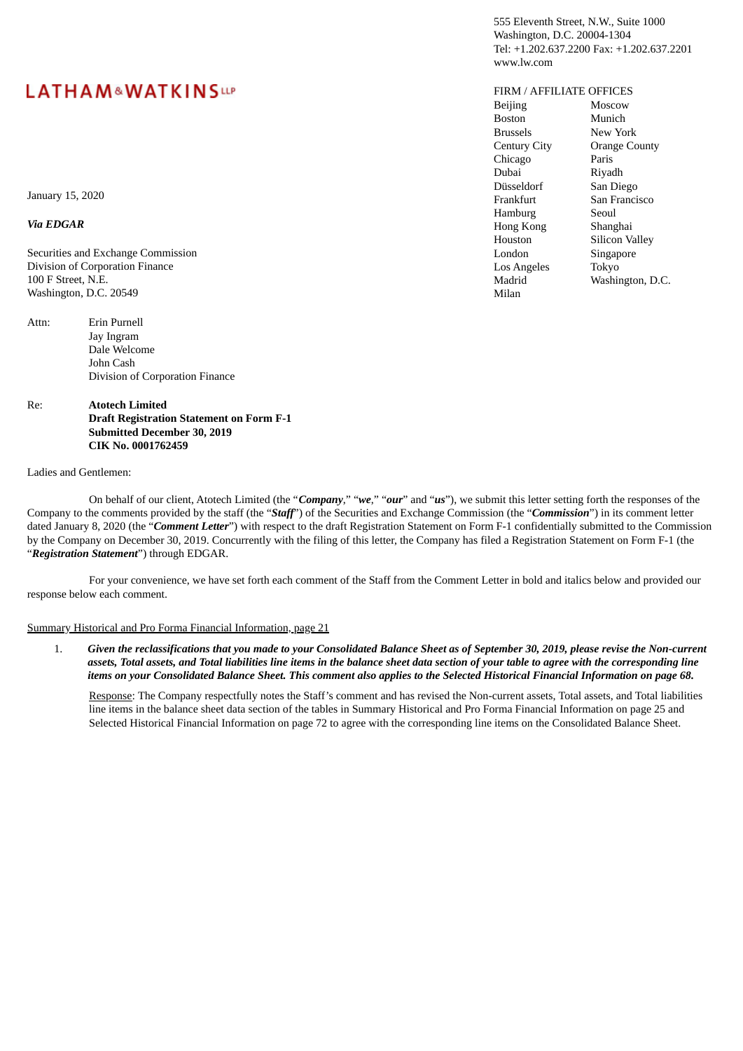# **LATHAM&WATKINSLLP**

555 Eleventh Street, N.W., Suite 1000 Washington, D.C. 20004-1304 Tel: +1.202.637.2200 Fax: +1.202.637.2201 www.lw.com

### FIRM / AFFILIATE OFFICES

| <b>Beijing</b>      | Moscow           |
|---------------------|------------------|
| <b>Boston</b>       | Munich           |
| <b>Brussels</b>     | New York         |
| <b>Century City</b> | Orange County    |
| Chicago             | Paris            |
| Dubai               | Riyadh           |
| Düsseldorf          | San Diego        |
| Frankfurt           | San Francisco    |
| Hamburg             | Seoul            |
| Hong Kong           | Shanghai         |
| Houston             | Silicon Valley   |
| London              | Singapore        |
| Los Angeles         | Tokyo            |
| Madrid              | Washington, D.C. |
| Milan               |                  |

January 15, 2020

#### *Via EDGAR*

Securities and Exchange Commission Division of Corporation Finance 100 F Street, N.E. Washington, D.C. 20549

Attn: Erin Purnell Jay Ingram Dale Welcome John Cash Division of Corporation Finance

#### Re: **Atotech Limited Draft Registration Statement on Form F-1 Submitted December 30, 2019 CIK No. 0001762459**

#### Ladies and Gentlemen:

On behalf of our client, Atotech Limited (the "*Company*," "*we*," "*our*" and "*us*"), we submit this letter setting forth the responses of the Company to the comments provided by the staff (the "*Staff*") of the Securities and Exchange Commission (the "*Commission*") in its comment letter dated January 8, 2020 (the "*Comment Letter*") with respect to the draft Registration Statement on Form F-1 confidentially submitted to the Commission by the Company on December 30, 2019. Concurrently with the filing of this letter, the Company has filed a Registration Statement on Form F-1 (the "*Registration Statement*") through EDGAR.

For your convenience, we have set forth each comment of the Staff from the Comment Letter in bold and italics below and provided our response below each comment.

#### Summary Historical and Pro Forma Financial Information, page 21

1. Given the reclassifications that you made to your Consolidated Balance Sheet as of September 30, 2019, please revise the Non-current assets, Total assets, and Total liabilities line items in the balance sheet data section of your table to agree with the corresponding line items on your Consolidated Balance Sheet. This comment also applies to the Selected Historical Financial Information on page 68.

Response: The Company respectfully notes the Staff's comment and has revised the Non-current assets, Total assets, and Total liabilities line items in the balance sheet data section of the tables in Summary Historical and Pro Forma Financial Information on page 25 and Selected Historical Financial Information on page 72 to agree with the corresponding line items on the Consolidated Balance Sheet.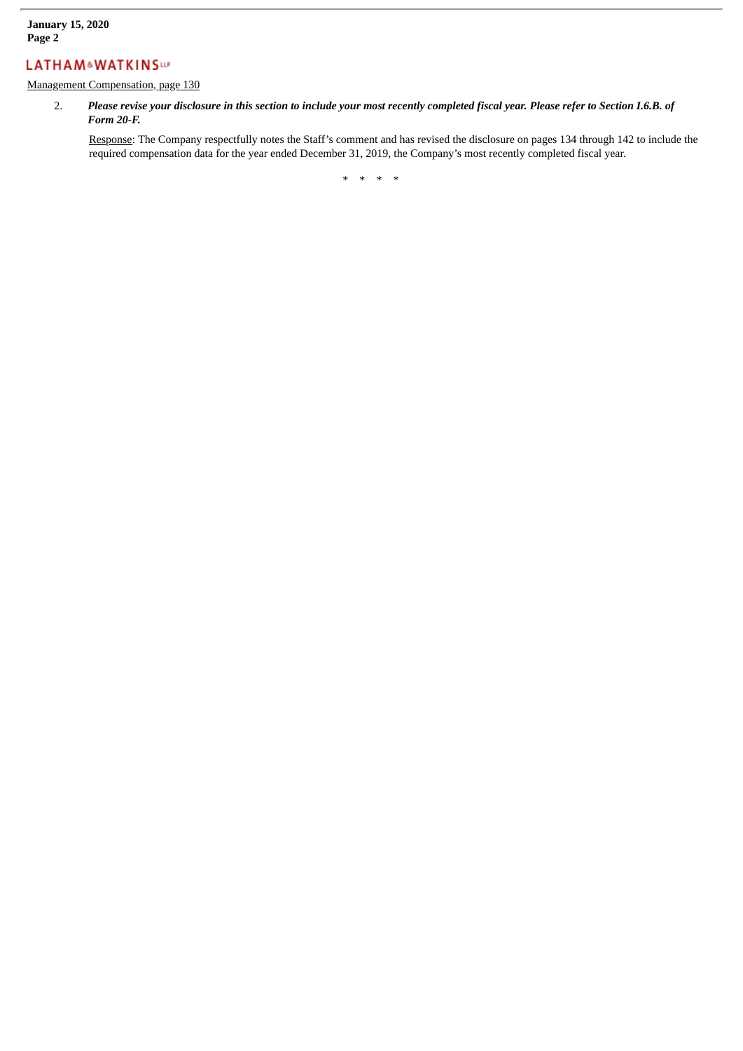# **LATHAM&WATKINSW**

Management Compensation, page 130

2. Please revise your disclosure in this section to include your most recently completed fiscal year. Please refer to Section I.6.B. of *Form 20-F.*

Response: The Company respectfully notes the Staff's comment and has revised the disclosure on pages 134 through 142 to include the required compensation data for the year ended December 31, 2019, the Company's most recently completed fiscal year.

\* \* \* \*